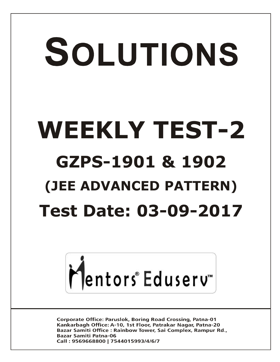# SOLUTIONS **WEEKLY TEST-2 GZPS-1901 & 1902 (JEE ADVANCED PATTERN) Test Date: 03-09-2017**



**Corporate Office: Paruslok, Boring Road Crossing, Patna-01** Kankarbagh Office: A-10, 1st Floor, Patrakar Nagar, Patna-20 Bazar Samiti Office: Rainbow Tower, Sai Complex, Rampur Rd., **Bazar Samiti Patna-06** Call: 9569668800 | 7544015993/4/6/7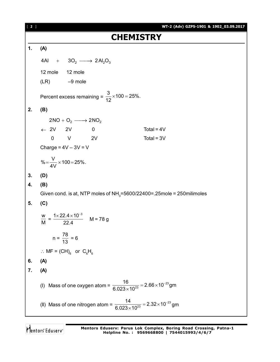| [2] | WT-2 (Adv) GZPS-1901 & 1902_03.09.2017                                                           |
|-----|--------------------------------------------------------------------------------------------------|
|     | <b>CHEMISTRY</b>                                                                                 |
| 1.  | (A)                                                                                              |
|     | 4Al + $3O_2 \longrightarrow 2Al_2O_3$                                                            |
|     | 12 mole 12 mole                                                                                  |
|     | $(LR)$ $-9$ mole                                                                                 |
|     | Percent excess remaining = $\frac{3}{12} \times 100 = 25\%$ .                                    |
| 2.  | (B)                                                                                              |
|     | $2NO + O2 \longrightarrow 2NO2$                                                                  |
|     | $\leftarrow$ 2V 2V 0<br>Total = $4V$                                                             |
|     | $0$ V 2V<br>Total = $3V$                                                                         |
|     | Charge = $4V - 3V = V$                                                                           |
|     | $\% = \frac{V}{4V} \times 100 = 25\%.$                                                           |
| 3.  | (D)                                                                                              |
| 4.  | (B)                                                                                              |
|     | Given cond. is at, NTP moles of NH <sub>3</sub> =5600/22400=.25mole = 250milimoles               |
| 5.  | (C)                                                                                              |
|     | $\frac{w}{M} = \frac{1 \times 22.4 \times 10^{-3}}{22.4}$ M = 78 g                               |
|     | $n = \frac{78}{13} = 6$                                                                          |
|     | $\therefore$ MF = (CH) <sub>6</sub> or C <sub>6</sub> H <sub>6</sub>                             |
| 6.  | (A)                                                                                              |
| 7.  | (A)                                                                                              |
|     | (I) Mass of one oxygen atom = $\frac{16}{6.023 \times 10^{23}}$ = 2.66 × 10 <sup>-23</sup> gm    |
|     | (II) Mass of one nitrogen atom = $\frac{14}{6.023 \times 10^{23}}$ = 2.32 × 10 <sup>-23</sup> gm |

Mentors<sup>®</sup> Eduserv<sup>®</sup>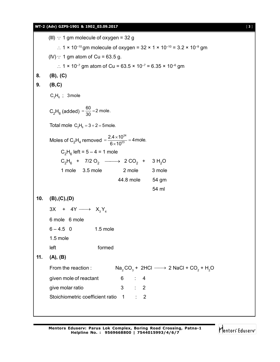|     | WT-2 (Adv) GZPS-1901 & 1902_03.09.2017                                                                   | $[3]$ |
|-----|----------------------------------------------------------------------------------------------------------|-------|
|     | (III) : 1 gm molecule of oxygen = 32 g                                                                   |       |
|     | :. $1 \times 10^{-10}$ gm molecule of oxygen = $32 \times 1 \times 10^{-10}$ = $3.2 \times 10^{-9}$ gm   |       |
|     | $(N)$ : 1 gm atom of Cu = 63.5 g.                                                                        |       |
|     | ∴ 1 × 10 <sup>-7</sup> gm atom of Cu = 63.5 × 10 <sup>-7</sup> = 6.35 × 10 <sup>-6</sup> gm              |       |
| 8.  | (B), (C)                                                                                                 |       |
| 9.  | (B,C)                                                                                                    |       |
|     | $C_2H_6$ ; 3 mole                                                                                        |       |
|     | $C_2H_6$ (added) = $\frac{60}{30}$ = 2 mole.                                                             |       |
|     | Total mole $C_2H_6 = 3 + 2 = 5$ mole.                                                                    |       |
|     | Moles of C <sub>2</sub> H <sub>4</sub> removed = $\frac{2.4 \times 10^{24}}{6 \times 10^{23}}$ = 4 mole. |       |
|     | $C_2H_6$ left = 5 – 4 = 1 mole                                                                           |       |
|     | $C_2H_6$ + 7/2 O <sub>2</sub> $\longrightarrow$ 2 CO <sub>2</sub> + 3 H <sub>2</sub> O                   |       |
|     | 2 mole<br>1 mole<br>$3.5$ mole<br>3 mole                                                                 |       |
|     | 44.8 mole 54 gm                                                                                          |       |
|     | 54 ml                                                                                                    |       |
| 10. | (B), (C), (D)                                                                                            |       |
|     | $3X + 4Y \longrightarrow X_3Y_4$                                                                         |       |
|     | 6 mole 6 mole                                                                                            |       |
|     | $6 - 4.5$ 0<br>1.5 mole                                                                                  |       |
|     | 1.5 mole                                                                                                 |       |
|     | formed<br>left                                                                                           |       |
| 11. | (A), (B)                                                                                                 |       |
|     | From the reaction : $\bigcirc$ $\bigcirc$ + 2HCl $\longrightarrow$ 2 NaCl + CO, + H.O                    |       |

| (A), (B)                               |   |                |  |                                                     |
|----------------------------------------|---|----------------|--|-----------------------------------------------------|
| From the reaction :                    |   |                |  | $Na, CO3 + 2HCl \longrightarrow 2 NaCl + CO2 + H2O$ |
| given mole of reactant                 | 6 | $\therefore$ 4 |  |                                                     |
| give molar ratio                       |   | $3 \div 2$     |  |                                                     |
| Stoichiometric coefficient ratio 1 : 2 |   |                |  |                                                     |

Mentors<sup>e</sup> Eduserv<sup>-</sup>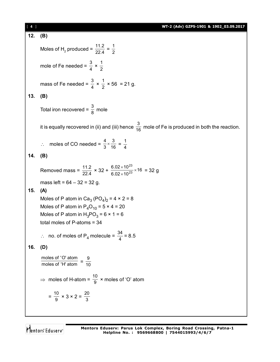| $[4]$ | WT-2 (Adv) GZPS-1901 & 1902_03.09.2017                                                                      |
|-------|-------------------------------------------------------------------------------------------------------------|
| 12.   | (B)                                                                                                         |
|       | Moles of H <sub>2</sub> produced = $\frac{11.2}{22.4} = \frac{1}{2}$                                        |
|       | mole of Fe needed = $\frac{3}{4} \times \frac{1}{2}$                                                        |
|       | mass of Fe needed = $\frac{3}{4} \times \frac{1}{2} \times 56 = 21$ g.                                      |
| 13.   | (B)                                                                                                         |
|       | Total iron recovered = $\frac{3}{8}$ mole                                                                   |
|       | it is equally recovered in (ii) and (iii) hence $\frac{3}{16}$ mole of Fe is produced in both the reaction. |
|       | $\therefore$ moles of CO needed = $\frac{4}{3} \times \frac{3}{16} = \frac{1}{4}$                           |
| 14.   | (B)                                                                                                         |
|       | Removed mass = $\frac{11.2}{22.4}$ × 32 + $\frac{6.02 \times 10^{23}}{6.02 \times 10^{23}}$ × 16 = 32 g     |
|       | mass left = $64 - 32 = 32$ g.                                                                               |
| 15.   | (A)                                                                                                         |
|       | Moles of P atom in Ca <sub>3</sub> (PO <sub>4</sub> ) <sub>2</sub> = 4 $\times$ 2 = 8                       |
|       | Moles of P atom in $P_4O_{10} = 5 \times 4 = 20$                                                            |
|       | Moles of P atom in $H_3PO_3 = 6 \times 1 = 6$                                                               |
|       | total moles of $P$ -atoms = 34                                                                              |
|       | $\therefore$ no. of moles of P <sub>4</sub> molecule = $\frac{34}{4}$ = 8.5                                 |
| 16.   | (D)                                                                                                         |
|       | moles of 'O' atom<br>moles of 'H' atom = $\frac{9}{10}$                                                     |
|       | ⇒ moles of H-atom = $\frac{10}{9}$ × moles of 'O' atom                                                      |
|       | $=\frac{10}{9} \times 3 \times 2 = \frac{20}{3}$                                                            |
|       |                                                                                                             |

Mentors<sup>e</sup> Eduserv<sup>-</sup>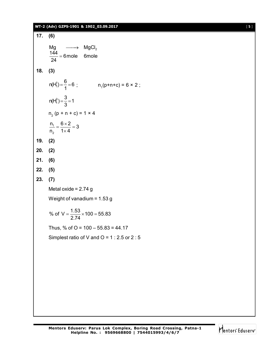# **WT-2 (Adv) GZPS-1901 & 1902\_03.09.2017** [ **5** ]

**17. (6)** Mg  $\hspace{.1in} \longrightarrow \hspace{.1in} \mathsf{MgCl}_2$  $\frac{144}{34}$  = 6 mole 6 mole 24  $=$ **18. (3)** 1 1  $n(H_1^1) = \frac{6}{1} = 6$  $=\frac{6}{1} = 6$ ;  $n_1(p+n+c) = 6 \times 2$ ; p<br>1  $n(H_1^3) = \frac{3}{2} = 1$ 3  $=\frac{6}{2}=1$  $n_{2}$  (p + n + c) = 1 × 4 1 2  $\frac{n_1}{1} = \frac{6 \times 2}{1} = 3$  $n_2$  1  $\times$  4  $=\frac{6\times2}{1}$  = 3  $\times$ **19. (2) 20. (2) 21. (6) 22. (5) 23. (7)** Metal oxide =  $2.74$  g Weight of vanadium = 1.53 g % of  $V = \frac{1.53}{2.71} \times 100 = 55.83$ 2.74  $=\frac{1.00}{2.74} \times 100 = 5$ Thus, % of  $O = 100 - 55.83 = 44.17$ Simplest ratio of V and  $O = 1$  : 2.5 or 2 : 5

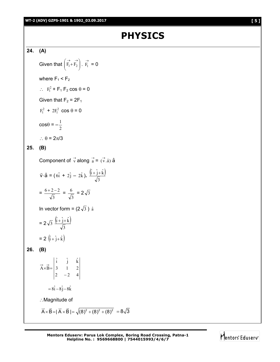# **PHYSICS**

**24. (A)**

Given that 
$$
\left(\overrightarrow{F_1} + \overrightarrow{F_2}\right)
$$
.  $\overrightarrow{F_1} = 0$   
\nwhere  $F_1 < F_2$   
\n $\therefore F_1^2 + F_1 F_2 \cos \theta = 0$   
\nGiven that  $F_2 = 2F_1$   
\n $F_1^2 + 2F_1^2 \cos \theta = 0$   
\n $\cos \theta = -\frac{1}{2}$   
\n $\therefore \theta = 2\pi/3$   
\n25. **(B)**  
\nComponent of  $\overrightarrow{v}$  along  $\overrightarrow{a} = (\overrightarrow{v}.\hat{a}) \hat{a}$   
\n $\overrightarrow{v} \cdot \hat{a} = (\hat{6} + 2\hat{j} - 2\hat{k})$ .  $\frac{(\hat{i} + \hat{j} + \hat{k})}{\sqrt{2}}$ 

$$
=\frac{6+2-2}{\sqrt{3}}=\frac{6}{\sqrt{3}}=2\sqrt{3}
$$

3

In vector form =  $(2\sqrt{3})$   $\hat{a}$ 

3

$$
= 2\sqrt{3} \frac{\left(\hat{i} + \hat{j} + \hat{k}\right)}{\sqrt{3}}
$$

$$
= 2 \left( \hat{i} + \hat{j} + \hat{k} \right)
$$

**26. (B)** 

$$
\vec{A} \times \vec{B} = \begin{vmatrix} \hat{i} & \hat{j} & \hat{k} \\ 3 & 1 & 2 \\ 2 & -2 & 4 \end{vmatrix}
$$
  
=  $8\hat{i} - 8\hat{j} - 8\hat{k}$   

$$
\therefore \text{Magnitude of}
$$
  

$$
\vec{A} \times \vec{B} = |\vec{A} \times \vec{B}| = \sqrt{(8)^2 + (8)^2 + (8)^2} = 8\sqrt{3}
$$

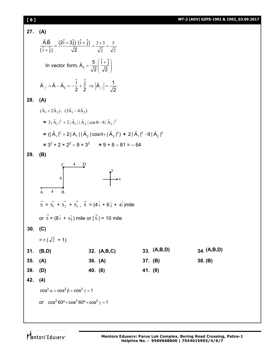16.1  
\n27. (A)  
\n
$$
\frac{\overline{AB}}{|\overline{1}+\overline{1}|} = \frac{(2\overline{1}+3\overline{1})\cdot(\overline{1}+\overline{1})}{\sqrt{2}} = \frac{2+3}{\sqrt{2}} = \frac{5}{\sqrt{2}}
$$
\nIn vector form,  $\overline{A}_{11} = \frac{5}{\sqrt{2}} (\frac{\overline{1}+\overline{1}}{\sqrt{2}})$   
\n
$$
\overline{A}_{\perp} = \overline{A} - \overline{A}_{11} = -\frac{1}{2} + \frac{1}{2} \Rightarrow |\overline{A}_{\perp}| = \frac{1}{\sqrt{2}}
$$
\n28. (A)  
\n
$$
(\overline{A}_{1} + 2\overline{A}_{2}) \cdot (3\overline{A}_{1} - 4\overline{A}_{2})
$$
\n
$$
= 3|\overline{A}_{1}|^2 + 2|\overline{A}_{1}||\overline{A}_{2}|\cos\theta - 8|\overline{A}_{2}|^2
$$
\n
$$
= (|\overline{A}_{1}|^2 + 2|\overline{A}_{1}||\overline{A}_{2}|\cos\theta + |\overline{A}_{2}|^2) + 2|\overline{A}_{1}|^2 - 9|\overline{A}_{2}|^2
$$
\n
$$
= 3^2 + 2 \times 2^2 - 9 \times 3^2 = 9 + 8 - 81 = -64
$$
\n29. (B)  
\n
$$
\begin{array}{c|cc}\n\overline{4} & \overline{P} \\
\overline{5} & \overline{5} \\
\overline{6} & \overline{1} \\
\overline{7} & \overline{7} + \overline{5} \\
\overline{8} & \overline{1} + \overline{5} \\
\overline{9} & \overline{1} + \overline{1} \\
\overline{1} & \overline{1} \\
\overline{1} & \overline{1} \\
\overline{1} & \overline{1} \\
\overline{1} & \overline{1} \\
\overline{1} & \overline{1} \\
\overline{1} & \overline{1} \\
\overline{1} & \overline{1} \\
\overline{1} & \overline{1} \\
\overline{1} & \overline{1} \\
\overline{1} & \overline{1} \\
\overline{1} & \over
$$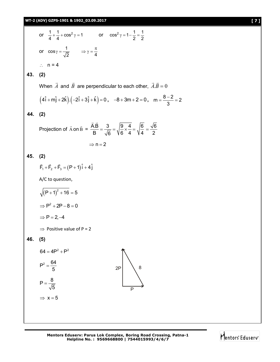

Mentors Eduserv<sup>®</sup>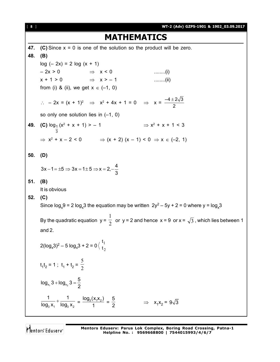| [ 8 ] | WT-2 (Adv) GZPS-1901 & 1902_03.09.2017                                                                                       |
|-------|------------------------------------------------------------------------------------------------------------------------------|
|       | <b>MATHEMATICS</b>                                                                                                           |
| 47.   | (C) Since $x = 0$ is one of the solution so the product will be zero.                                                        |
| 48.   | (B)                                                                                                                          |
|       | $log (-2x) = 2 log (x + 1)$                                                                                                  |
|       | $-2x > 0$ $\Rightarrow$ $x < 0$<br>$\ldots$ (i)                                                                              |
|       | $x + 1 > 0$ $\Rightarrow x > -1$<br>$\ldots$ (ii)                                                                            |
|       | from (i) & (ii), we get $x \in (-1, 0)$                                                                                      |
|       | ∴ - 2x = (x + 1) <sup>2</sup> ⇒ x <sup>2</sup> + 4x + 1 = 0 ⇒ x = $\frac{-4 \pm 2\sqrt{3}}{2}$                               |
|       | so only one solution lies in $(-1, 0)$                                                                                       |
| 49.   | $\Rightarrow$ x <sup>2</sup> + x + 1 < 3<br>(C) $\log_{\frac{1}{3}}(x^2 + x + 1) > -1$                                       |
|       | $\Rightarrow$ x <sup>2</sup> + x - 2 < 0 $\Rightarrow$ (x + 2) (x - 1) < 0 $\Rightarrow$ x $\in$ (-2, 1)                     |
| 50.   | (D)                                                                                                                          |
|       | $3x-1 = \pm 5 \implies 3x = 1 \pm 5 \implies x = 2, -\frac{4}{3}$                                                            |
| 51.   | (B)                                                                                                                          |
|       | It is obvious                                                                                                                |
| 52.   | (C)                                                                                                                          |
|       | Since $\log_{x} 9 = 2 \log_{x} 3$ the equation may be written $2y^2 - 5y + 2 = 0$ where y = $\log_{x} 3$                     |
|       | By the quadratic equation $y = \frac{1}{2}$ or $y = 2$ and hence $x = 9$ or $x = \sqrt{3}$ , which lies between 1<br>and 2.  |
|       | $2(\log_{x}3)^{2} - 5 \log_{x}3 + 2 = 0 \left\langle \frac{11}{12} \right\rangle$                                            |
|       | $t_1t_2 = 1$ ; $t_1 + t_2 = \frac{5}{2}$                                                                                     |
|       | $log_{x_1} 3 + log_{x_2} 3 = \frac{5}{2}$                                                                                    |
|       | $\frac{1}{\log_3 x_1} + \frac{1}{\log_3 x_2} = \frac{\log_3(x_1x_2)}{1} = \frac{5}{2}$<br>$\Rightarrow$ $x_1x_2 = 9\sqrt{3}$ |

Mentors<sup>®</sup> Eduserv<sup>®</sup>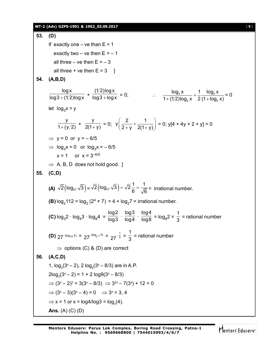## **WT-2 (Adv) GZPS-1901 & 1902\_03.09.2017** [ **9** ]

**53. (D)** If exactly one – ve than  $E = 1$ exactly two – ve then  $E = -1$ all three – ve then  $E = -3$ all three  $+$  ve then  $E = 3$  ] **54. (A,B,D)** logx  $\frac{6}{\log 3 + (1/2)\log x}$  + (1/2) $\log x$  $\frac{1}{\log 3 + \log x} = 0;$   $\therefore$   $\frac{\log_3 x}{1 + (1/2)\log_2 x} + \frac{1}{2} \frac{\log_3 x}{(1 + \log_3 x)}$  $3^{\prime\prime}$   $\sim$   $(11093)$  $\log_3 x$  1  $\log_3 x$  $1 + (1/2) \log_3 x$  2 (1 +  $\log_3 x$ )  $^{+}$  $+ (1/2)$ log<sub>3</sub> x 2 (1+l = 0 let  $log_3 x = y$ y  $\frac{1}{1+(y/2)}$  + y  $\frac{y}{2(1+y)} = 0;$  $y\left(\frac{2}{2} + \frac{1}{2} \right)$  $\left(\frac{2}{2+y}+\frac{1}{2(1+y)}\right)=0$ ; y[4 + 4y + 2 + y] = 0  $\Rightarrow$  y = 0 or y = -6/5  $\Rightarrow$  log<sub>3</sub>x = 0 or log<sub>3</sub>x =  $-6/5$  $x = 1$  or  $x = 3^{-6/5}$  $\Rightarrow$  A, B, D does not hold good. ] **55. (C,D) (A)**  $\sqrt{2}(\log_{27} \sqrt{3}) = \sqrt{2}(\log_{27} \sqrt{3}) = \sqrt{2}\frac{1}{6} = \frac{1}{\sqrt{6}}$  $= \sqrt{2} \frac{1}{6} = \frac{1}{\sqrt{6}}$  = irrational number. **(B)**  $log_2 112 = log_2 (2^4 \times 7) = 4 + log_2 7 = 1$  irrational number. **(C)**  $log_3 2 \cdot log_4 3 \cdot log_8 4 =$ log2  $\frac{6}{\log 3}$  · log3  $\frac{6}{\log 4}$  · log4  $\frac{1}{\log 8} = \log_8 2 =$ 1  $\frac{1}{3}$  = rational number **(D)** 27<sup>-(log<sub>125</sub>5) = 27<sup>-(log</sup><sub>5-3</sub>5) = 27<sup>- $\frac{1}{3}$ </sup></sup>  $27^{-\frac{1}{3}}$  = 1  $\frac{1}{3}$  = rational number  $\Rightarrow$  options (C) & (D) are correct **56. (A,C,D)** 1,  $log_3(3^x - 2)$ , 2  $log_9(3^x - 8/3)$  are in A.P.  $2log_3(3^{x} - 2) = 1 + 2 log9(3^{x} - 8/3)$  $\Rightarrow$   $(3^{x} - 2)^{2} = 3(3^{x} - 8/3) \Rightarrow 3^{2x} - 7(3^{x}) + 12 = 0$  $\Rightarrow$  (3x - 3)(3x - 4) = 0  $\Rightarrow$  3x = 3, 4  $\Rightarrow$  x = 1 or x = log4/log3 = log<sub>3</sub>(4). **Ans.** (A) (C) (D)

Mentors Eduserv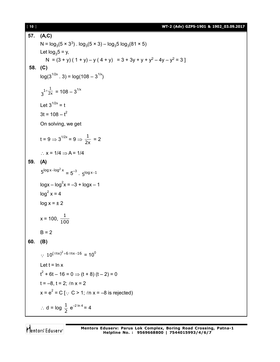[ **10** ] **WT-2 (Adv) GZPS-1901 & 1902\_03.09.2017**

**57. (A,C)** N =  $log_3(5 \times 3^3)$  .  $log_3(5 \times 3)$  –  $log_35 log_3(81 \times 5)$ Let  $log_3 5 = y$ ,  $N = (3 + y) (1 + y) - y (4 + y) = 3 + 3y + y + y<sup>2</sup> - 4y - y<sup>2</sup> = 3$ **58. (C)**  $log(3^{1/2x} \cdot 3) = log(108 - 3^{1/x})$ 2x  $3^{1+\frac{1}{2x}} = 108 - 3^{1/x}$ Let  $3^{1/2x} = t$  $3t = 108 - t^2$ On solving, we get  $t = 9 \Rightarrow 3^{1/2x} = 9 \Rightarrow \frac{1}{2x} = 2$  $\therefore$  x = 1/4  $\Rightarrow$  A = 1/4 **59. (A)**  $5^{\log x - \log^2 x} = 5^{-3}$ .  $5^{\log x - 1}$  $\log x - \log^2 x = -3 + \log x - 1$  $log<sup>2</sup> x = 4$  $log x = \pm 2$  $x = 100, \frac{1}{100}$  $B = 2$ **60. (B)**  $\therefore 10^{(\ln x)^2 + 6 \ln x - 16} = 10^0$ Let  $t = \ln x$  $t^2$  + 6t – 16 = 0  $\Rightarrow$  (t + 8) (t – 2) = 0  $t = -8$ ,  $t = 2$ ;  $ln x = 2$  $x = e^2 = C$  [ $\therefore$  C > 1;  $\ln x = -8$  is rejected)  $\therefore$  d = log  $\frac{1}{2}$  $\frac{1}{2}$  e<sup>-2 ln 4</sup> = 4

Mentors Eduserv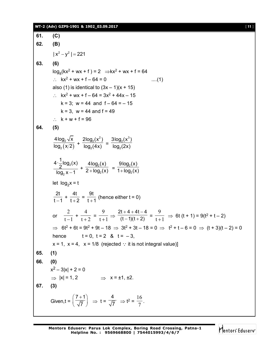### **WT-2 (Adv) GZPS-1901 & 1902\_03.09.2017** [ **11** ]

**61. (C) 62. (B)**  $|x^2 - y^2| = 221$ **63. (6)**  $log_8(kx^2 + wx + f) = 2 \implies kx^2 + wx + f = 64$ :  $kx^2 + wx + f - 64 = 0$  ....(1) also (1) is identical to  $(3x – 1)(x + 15)$ :  $kx^2 + wx + f - 64 = 3x^2 + 44x - 15$  $k = 3$ ;  $w = 44$  and  $f - 64 = -15$  $k = 3$ ,  $w = 44$  and  $f = 49$ :  $k + w + f = 96$ **64. (5)**  $(x/2)$ 2 2 4log $_2 \sqrt{\mathsf{x}}$  $\frac{1}{\log_2(x/2)}$  +  $2(x^2)$ 2  $2\log_2(x^2)$  $\frac{1}{\log_2(4x)}$  =  $\sigma$ <sub>2</sub> $(x^3)$ 2  $3$ log $_2$ (x $^3)$  $log<sub>2</sub>(2x)$ 2 2  $4 \cdot \frac{1}{6} \log_2(x)$ 2  $log<sub>2</sub> x - 1$  $+$   $\frac{1092}{2+100}$ 2 4log $_2$ (x)  $\frac{9.692(x)}{2 + \log_2(x)} = \frac{3.692}{1 + \log_2(x)}$ 2 9log $_2$ (x)  $1 + \log_2(x)$ let log<sub>2</sub>x = t 2t  $\frac{1}{t-1}$  + 4t  $\frac{1}{t+2}$  = 9t  $\frac{1}{t+1}$  (hence either t = 0) or  $\overline{t-1}$ 2  $\frac{1}{-1}$  +  $\frac{1}{t+2}$ 4  $\frac{1}{t+2} = \frac{1}{t+1}$ 9  $\frac{1}{+1} \Rightarrow$  $2t + 4 + 4t - 4$  $(t - 1)(t + 2)$  $+4+4t-4$  $\frac{-1}{t+2}$  =  $\frac{1}{t+1}$ 9  $\frac{1}{x+1}$   $\Rightarrow$  6t (t + 1) = 9(t<sup>2</sup> + t - 2)  $\Rightarrow$  6t<sup>2</sup> + 6t = 9t<sup>2</sup> + 9t – 18  $\Rightarrow$  3t<sup>2</sup> + 3t – 18 = 0  $\Rightarrow$  t<sup>2</sup> + t – 6 = 0  $\Rightarrow$  (t + 3)(t – 2) = 0 hence  $t = 0, t = 2, 8, t = -3,$  $x = 1$ ,  $x = 4$ ,  $x = 1/8$  (rejected : it is not integral value)] **65. (1) 66. (0)**  $x^2 - 3|x| + 2 = 0$  $\Rightarrow$   $|x| = 1, 2$   $\Rightarrow$   $x = \pm 1, \pm 2.$ **67. (3)** Given,t =  $7 + 1$ 7  $(7+1)$  $\left(\overline{\sqrt{7}}\right) \Rightarrow t =$ 4  $\overline{7}$   $\Rightarrow$  t<sup>2</sup> =  $\frac{12}{7}$ 16 .

Mentors<sup>®</sup> Eduserv<sup>®</sup>